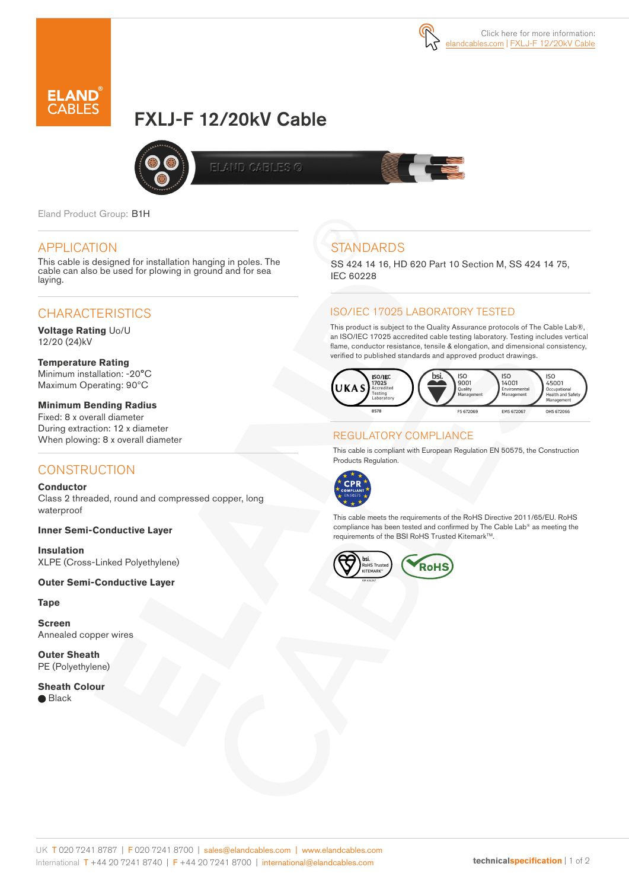



# FXLJ-F 12/20kV Cable



**ELAND CABLES ©** 

Eland Product Group: B1H

#### APPLICATION

This cable is designed for installation hanging in poles. The cable can also be used for plowing in ground and for sea laying.

# **CHARACTERISTICS**

**Voltage Rating** Uo/U 12/20 (24)kV

**Temperature Rating** Minimum installation: -20°C Maximum Operating: 90ºC

**Minimum Bending Radius**  Fixed: 8 x overall diameter During extraction: 12 x diameter When plowing: 8 x overall diameter

# **CONSTRUCTION**

**Conductor** Class 2 threaded, round and compressed copper, long waterproof

#### **Inner Semi-Conductive Layer**

**Insulation** XLPE (Cross-Linked Polyethylene)

#### **Outer Semi-Conductive Layer**

**Tape**

**Screen** Annealed copper wires

**Outer Sheath** PE (Polyethylene)

**Sheath Colour ■** Black

# **STANDARDS**

SS 424 14 16, HD 620 Part 10 Section M, SS 424 14 75, IEC 60228

#### ISO/IEC 17025 LABORATORY TESTED

This product is subject to the Quality Assurance protocols of The Cable Lab®, an ISO/IEC 17025 accredited cable testing laboratory. Testing includes vertical flame, conductor resistance, tensile & elongation, and dimensional consistency, verified to published standards and approved product drawings.



#### REGULATORY COMPLIANCE

This cable is compliant with European Regulation EN 50575, the Construction Products Regulation.



This cable meets the requirements of the RoHS Directive 2011/65/EU. RoHS compliance has been tested and confirmed by The Cable Lab® as meeting the requirements of the BSI RoHS Trusted Kitemark™.